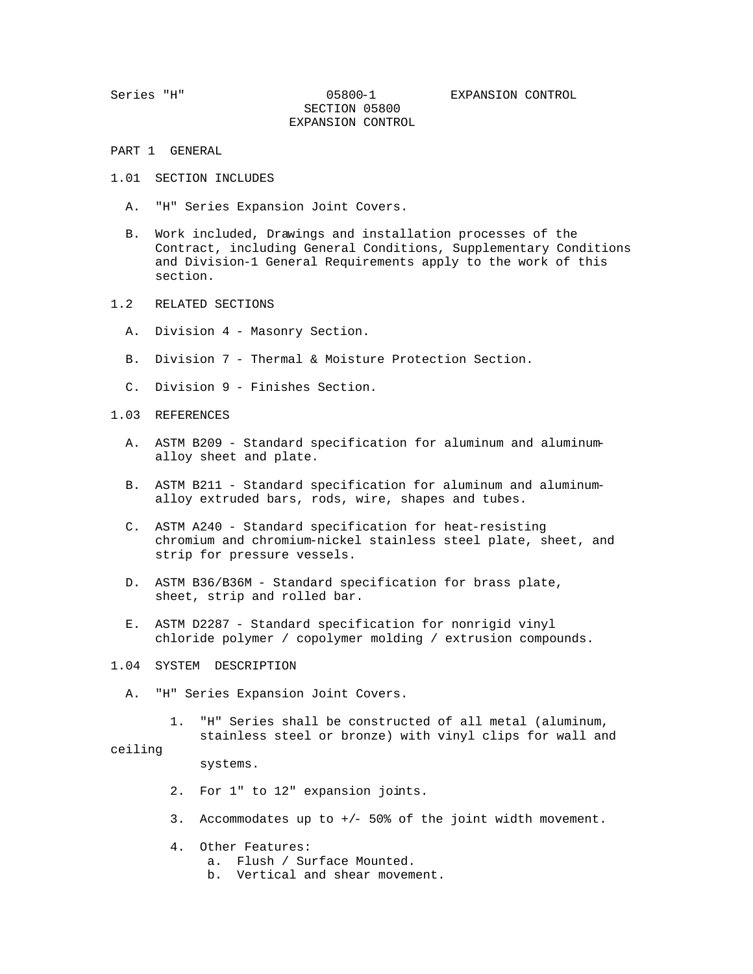SECTION 05800 EXPANSION CONTROL

- PART 1 GENERAL
- 1.01 SECTION INCLUDES
	- A. "H" Series Expansion Joint Covers.
	- B. Work included, Drawings and installation processes of the Contract, including General Conditions, Supplementary Conditions and Division-1 General Requirements apply to the work of this section.
- 1.2 RELATED SECTIONS
	- A. Division 4 Masonry Section.
	- B. Division 7 Thermal & Moisture Protection Section.
	- C. Division 9 Finishes Section.
- 1.03 REFERENCES
	- A. ASTM B209 Standard specification for aluminum and aluminum alloy sheet and plate.
	- B. ASTM B211 Standard specification for aluminum and aluminum alloy extruded bars, rods, wire, shapes and tubes.
	- C. ASTM A240 Standard specification for heat-resisting chromium and chromium-nickel stainless steel plate, sheet, and strip for pressure vessels.
	- D. ASTM B36/B36M Standard specification for brass plate, sheet, strip and rolled bar.
	- E. ASTM D2287 Standard specification for nonrigid vinyl chloride polymer / copolymer molding / extrusion compounds.
- 1.04 SYSTEM DESCRIPTION
	- A. "H" Series Expansion Joint Covers.
		- 1. "H" Series shall be constructed of all metal (aluminum, stainless steel or bronze) with vinyl clips for wall and

## ceiling

systems.

- 2. For 1" to 12" expansion joints.
- 3. Accommodates up to +/- 50% of the joint width movement.
- 4. Other Features:
	- a. Flush / Surface Mounted.
	- b. Vertical and shear movement.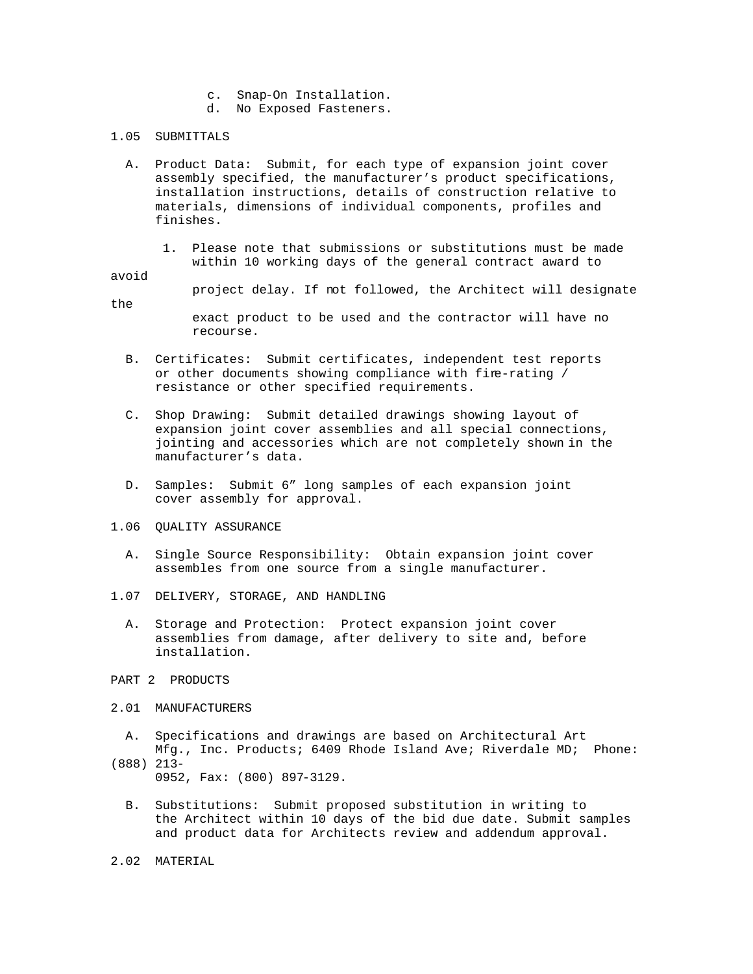- c. Snap-On Installation.
- d. No Exposed Fasteners.

## 1.05 SUBMITTALS

- A. Product Data: Submit, for each type of expansion joint cover assembly specified, the manufacturer's product specifications, installation instructions, details of construction relative to materials, dimensions of individual components, profiles and finishes.
	- 1. Please note that submissions or substitutions must be made within 10 working days of the general contract award to

## avoid

the

- project delay. If not followed, the Architect will designate
	- exact product to be used and the contractor will have no recourse.
- B. Certificates: Submit certificates, independent test reports or other documents showing compliance with fire-rating / resistance or other specified requirements.
- C. Shop Drawing: Submit detailed drawings showing layout of expansion joint cover assemblies and all special connections, jointing and accessories which are not completely shown in the manufacturer's data.
- D. Samples: Submit 6" long samples of each expansion joint cover assembly for approval.
- 1.06 QUALITY ASSURANCE
	- A. Single Source Responsibility: Obtain expansion joint cover assembles from one source from a single manufacturer.
- 1.07 DELIVERY, STORAGE, AND HANDLING
	- A. Storage and Protection: Protect expansion joint cover assemblies from damage, after delivery to site and, before installation.
- PART 2 PRODUCTS
- 2.01 MANUFACTURERS
	- A. Specifications and drawings are based on Architectural Art Mfg., Inc. Products; 6409 Rhode Island Ave; Riverdale MD; Phone:
- (888) 213-

0952, Fax: (800) 897-3129.

- B. Substitutions: Submit proposed substitution in writing to the Architect within 10 days of the bid due date. Submit samples and product data for Architects review and addendum approval.
- 2.02 MATERIAL